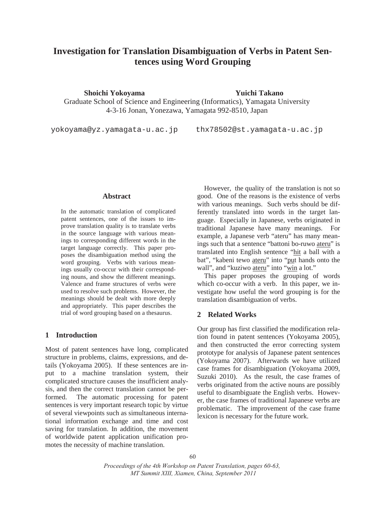# **Investigation for Translation Disambiguation of Verbs in Patent Sentences using Word Grouping**

**Shoichi Yokoyama Yuichi Takano**

Graduate School of Science and Engineering (Informatics), Yamagata University 4-3-16 Jonan, Yonezawa, Yamagata 992-8510, Japan

yokoyama@yz.yamagata-u.ac.jp thx78502@st.yamagata-u.ac.jp

## **Abstract**

In the automatic translation of complicated patent sentences, one of the issues to improve translation quality is to translate verbs in the source language with various meanings to corresponding different words in the target language correctly. This paper proposes the disambiguation method using the word grouping. Verbs with various meanings usually co-occur with their corresponding nouns, and show the different meanings. Valence and frame structures of verbs were used to resolve such problems. However, the meanings should be dealt with more deeply and appropriately. This paper describes the trial of word grouping based on a thesaurus.

## **1 Introduction**

Most of patent sentences have long, complicated structure in problems, claims, expressions, and details (Yokoyama 2005). If these sentences are input to a machine translation system, their complicated structure causes the insufficient analysis, and then the correct translation cannot be performed. The automatic processing for patent sentences is very important research topic by virtue of several viewpoints such as simultaneous international information exchange and time and cost saving for translation. In addition, the movement of worldwide patent application unification promotes the necessity of machine translation.

However, the quality of the translation is not so good. One of the reasons is the existence of verbs with various meanings. Such verbs should be differently translated into words in the target language. Especially in Japanese, verbs originated in traditional Japanese have many meanings. For example, a Japanese verb "ateru" has many meanings such that a sentence "battoni bo-ruwo ateru" is translated into English sentence "hit a ball with a bat", "kabeni tewo ateru" into "put hands onto the wall", and "kuziwo ateru" into "win a lot."

This paper proposes the grouping of words which co-occur with a verb. In this paper, we investigate how useful the word grouping is for the translation disambiguation of verbs.

## **2 Related Works**

Our group has first classified the modification relation found in patent sentences (Yokoyama 2005), and then constructed the error correcting system prototype for analysis of Japanese patent sentences (Yokoyama 2007). Afterwards we have utilized case frames for disambiguation (Yokoyama 2009, Suzuki 2010). As the result, the case frames of verbs originated from the active nouns are possibly useful to disambiguate the English verbs. However, the case frames of traditional Japanese verbs are problematic. The improvement of the case frame lexicon is necessary for the future work.

*Proceedings of the 4th Workshop on Patent Translation, pages 60-63, MT Summit XIII, Xiamen, China, September 2011*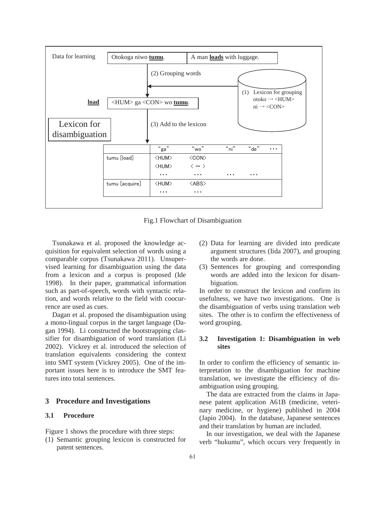

Fig.1 Flowchart of Disambiguation

Tsunakawa et al. proposed the knowledge acquisition for equivalent selection of words using a comparable corpus (Tsunakawa 2011). Unsupervised learning for disambiguation using the data from a lexicon and a corpus is proposed (Ide 1998). In their paper, grammatical information such as part-of-speech, words with syntactic relation, and words relative to the field with coocurrence are used as cues.

Dagan et al. proposed the disambiguation using a mono-lingual corpus in the target language (Dagan 1994). Li constructed the bootstrapping classifier for disambiguation of word translation (Li 2002). Vickrey et al. introduced the selection of translation equivalents considering the context into SMT system (Vickrey 2005). One of the important issues here is to introduce the SMT features into total sentences.

## **3 Procedure and Investigations**

## **3.1 Procedure**

Figure 1 shows the procedure with three steps:

(1) Semantic grouping lexicon is constructed for patent sentences.

- (2) Data for learning are divided into predicate argument structures (Iida 2007), and grouping the words are done.
- (3) Sentences for grouping and corresponding words are added into the lexicon for disambiguation.

In order to construct the lexicon and confirm its usefulness, we have two investigations. One is the disambiguation of verbs using translation web sites. The other is to confirm the effectiveness of word grouping.

#### **3.2 Investigation 1: Disambiguation in web sites**

In order to confirm the efficiency of semantic interpretation to the disambiguation for machine translation, we investigate the efficiency of disambiguation using grouping.

The data are extracted from the claims in Japanese patent application A61B (medicine, veterinary medicine, or hygiene) published in 2004 (Japio 2004). In the database, Japanese sentences and their translation by human are included.

In our investigation, we deal with the Japanese verb "hukumu", which occurs very frequently in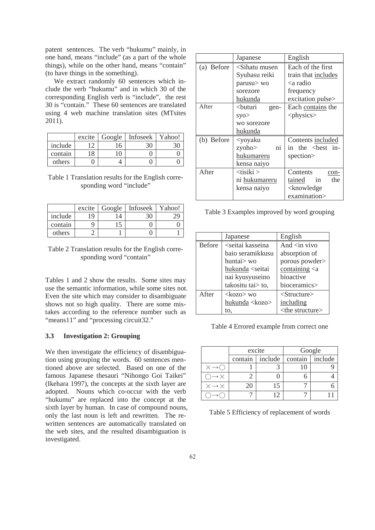patent sentences. The verb "hukumu" mainly, in one hand, means "include" (as a part of the whole things), while on the other hand, means "contain" (to have things in the something).

We extract randomly 60 sentences which include the verb "hukumu" and in which 30 of the corresponding English verb is "include", the rest 30 is "contain." These 60 sentences are translated using 4 web machine translation sites (MTsites 2011).

|         | excite | Google | Infoseek | Yahoo! |
|---------|--------|--------|----------|--------|
| include |        | 16     | 30       |        |
| contain | 18     |        |          |        |
| others  |        |        |          |        |

## Table 1 Translation results for the English corresponding word "include"

|         | excite | Google | Infoseek | Yahoo! |
|---------|--------|--------|----------|--------|
| include | 19     |        |          |        |
| contain |        |        |          |        |
| others  |        |        |          |        |

Table 2 Translation results for the English corresponding word "contain"

Tables 1 and 2 show the results. Some sites may use the semantic information, while some sites not. Even the site which may consider to disambiguate shows not so high quality. There are some mistakes according to the reference number such as "means11" and "processing circuit32."

## **3.3 Investigation 2: Grouping**

We then investigate the efficiency of disambiguation using grouping the words. 60 sentences mentioned above are selected. Based on one of the famous Japanese thesauri "Nihongo Goi Taikei" (Ikehara 1997), the concepts at the sixth layer are adopted. Nouns which co-occur with the verb "hukumu" are replaced into the concept at the sixth layer by human. In case of compound nouns, only the last noun is left and rewritten. The rewritten sentences are automatically translated on the web sites, and the resulted disambiguation is investigated.

|            | Japanese                                            | English                            |  |
|------------|-----------------------------------------------------|------------------------------------|--|
| (a) Before | $\le$ Sihatu musen                                  | Each of the first                  |  |
|            | Syuhasu reiki                                       | train that includes                |  |
|            | parusu> wo                                          | <a radio<="" td=""></a>            |  |
|            | sorezore                                            | frequency                          |  |
|            | hukunda                                             | excitation pulse>                  |  |
| After      | <buturi<br>gen-</buturi<br>                         | Each contains the                  |  |
|            | SVO                                                 | $<$ physics $>$                    |  |
|            | wo sorezore                                         |                                    |  |
|            | hukunda                                             |                                    |  |
| (b) Before | <yoyaku< td=""><td>Contents included</td></yoyaku<> | Contents included                  |  |
|            | zyoho><br>ni                                        | in the <best in-<="" td=""></best> |  |
|            | hukumareru                                          | spection>                          |  |
|            | kensa naiyo                                         |                                    |  |
| After      | <tisiki></tisiki>                                   | Contents<br>con-                   |  |
|            | ni hukumareru                                       | the<br>tained<br>in                |  |
|            | kensa naiyo                                         | <knowledge< td=""></knowledge<>    |  |
|            |                                                     | examination>                       |  |

Table 3 Examples improved by word grouping

|               | Japanese                                                                    | English                  |  |
|---------------|-----------------------------------------------------------------------------|--------------------------|--|
| <b>Before</b> | <seitai kasseina<="" th=""><th>And <math>\sin</math> vivo</th></seitai>     | And $\sin$ vivo          |  |
|               | baio seramikkusu                                                            | absorption of            |  |
|               | huntai> wo                                                                  | porous powder>           |  |
|               | hukunda <seitai< th=""><th>containing <math>\langle a</math></th></seitai<> | containing $\langle a$   |  |
|               | nai kyusyuseino                                                             | bioactive                |  |
|               | takositu tai> to,                                                           | bioceramics>             |  |
| After         | $\langle kozo \rangle$ wo                                                   | $\le$ Structure $>$      |  |
|               | hukunda <kozo></kozo>                                                       | including                |  |
|               | to.                                                                         | <the structure=""></the> |  |

Table 4 Errored example from correct one

|                             | excite  |         | Google  |         |
|-----------------------------|---------|---------|---------|---------|
|                             | contain | include | contain | include |
|                             |         |         |         |         |
| $\rightarrow \times$        |         |         |         |         |
| $\times \rightarrow \times$ | 20      | 15      |         |         |
|                             |         |         |         |         |

Table 5 Efficiency of replacement of words